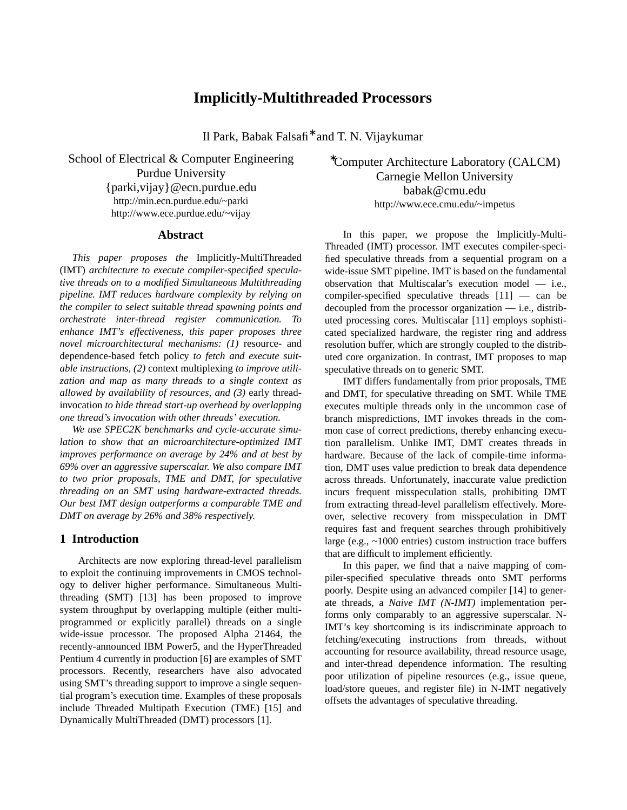# **Implicitly-Multithreaded Processors**

Il Park, Babak Falsafi<sup>\*</sup> and T. N. Vijaykumar

School of Electrical & Computer Engineering Purdue University {parki,vijay}@ecn.purdue.edu http://min.ecn.purdue.edu/~parki http://www.ece.purdue.edu/~vijay

# **Abstract**

*This paper proposes the* Implicitly-MultiThreaded (IMT) *architecture to execute compiler-specified speculative threads on to a modified Simultaneous Multithreading pipeline. IMT reduces hardware complexity by relying on the compiler to select suitable thread spawning points and orchestrate inter-thread register communication. To enhance IMT's effectiveness, this paper proposes three novel microarchitectural mechanisms: (1)* resource- and dependence-based fetch policy *to fetch and execute suitable instructions, (2)* context multiplexing *to improve utilization and map as many threads to a single context as allowed by availability of resources, and (3)* early threadinvocation *to hide thread start-up overhead by overlapping one thread's invocation with other threads' execution.*

*We use SPEC2K benchmarks and cycle-accurate simulation to show that an microarchitecture-optimized IMT improves performance on average by 24% and at best by 69% over an aggressive superscalar. We also compare IMT to two prior proposals, TME and DMT, for speculative threading on an SMT using hardware-extracted threads. Our best IMT design outperforms a comparable TME and DMT on average by 26% and 38% respectively.*

# **1 Introduction**

Architects are now exploring thread-level parallelism to exploit the continuing improvements in CMOS technology to deliver higher performance. Simultaneous Multithreading (SMT) [13] has been proposed to improve system throughput by overlapping multiple (either multiprogrammed or explicitly parallel) threads on a single wide-issue processor. The proposed Alpha 21464, the recently-announced IBM Power5, and the HyperThreaded Pentium 4 currently in production [6] are examples of SMT processors. Recently, researchers have also advocated using SMT's threading support to improve a single sequential program's execution time. Examples of these proposals include Threaded Multipath Execution (TME) [15] and Dynamically MultiThreaded (DMT) processors [1].

<sup>∗</sup>Computer Architecture Laboratory (CALCM) Carnegie Mellon University babak@cmu.edu http://www.ece.cmu.edu/~impetus

In this paper, we propose the Implicitly-Multi-Threaded (IMT) processor. IMT executes compiler-specified speculative threads from a sequential program on a wide-issue SMT pipeline. IMT is based on the fundamental observation that Multiscalar's execution model — i.e., compiler-specified speculative threads [11] — can be decoupled from the processor organization — i.e., distributed processing cores. Multiscalar [11] employs sophisticated specialized hardware, the register ring and address resolution buffer, which are strongly coupled to the distributed core organization. In contrast, IMT proposes to map speculative threads on to generic SMT.

IMT differs fundamentally from prior proposals, TME and DMT, for speculative threading on SMT. While TME executes multiple threads only in the uncommon case of branch mispredictions, IMT invokes threads in the common case of correct predictions, thereby enhancing execution parallelism. Unlike IMT, DMT creates threads in hardware. Because of the lack of compile-time information, DMT uses value prediction to break data dependence across threads. Unfortunately, inaccurate value prediction incurs frequent misspeculation stalls, prohibiting DMT from extracting thread-level parallelism effectively. Moreover, selective recovery from misspeculation in DMT requires fast and frequent searches through prohibitively large (e.g., ~1000 entries) custom instruction trace buffers that are difficult to implement efficiently.

In this paper, we find that a naive mapping of compiler-specified speculative threads onto SMT performs poorly. Despite using an advanced compiler [14] to generate threads, a *Naive IMT (N-IMT)* implementation performs only comparably to an aggressive superscalar. N-IMT's key shortcoming is its indiscriminate approach to fetching/executing instructions from threads, without accounting for resource availability, thread resource usage, and inter-thread dependence information. The resulting poor utilization of pipeline resources (e.g., issue queue, load/store queues, and register file) in N-IMT negatively offsets the advantages of speculative threading.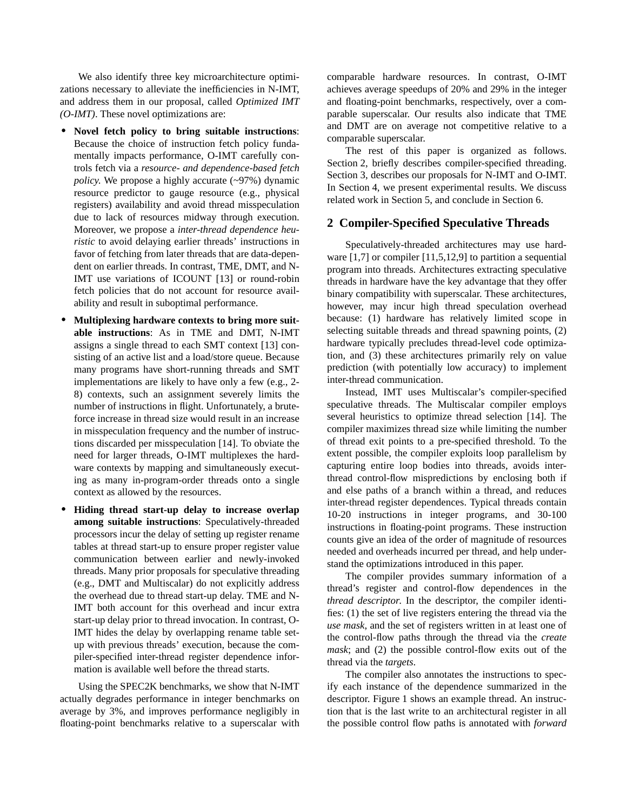We also identify three key microarchitecture optimizations necessary to alleviate the inefficiencies in N-IMT, and address them in our proposal, called *Optimized IMT (O-IMT)*. These novel optimizations are:

- **• Novel fetch policy to bring suitable instructions**: Because the choice of instruction fetch policy fundamentally impacts performance, O-IMT carefully controls fetch via a *resource- and dependence-based fetch policy*. We propose a highly accurate (~97%) dynamic resource predictor to gauge resource (e.g., physical registers) availability and avoid thread misspeculation due to lack of resources midway through execution. Moreover, we propose a *inter-thread dependence heuristic* to avoid delaying earlier threads' instructions in favor of fetching from later threads that are data-dependent on earlier threads. In contrast, TME, DMT, and N-IMT use variations of ICOUNT [13] or round-robin fetch policies that do not account for resource availability and result in suboptimal performance.
- **• Multiplexing hardware contexts to bring more suitable instructions**: As in TME and DMT, N-IMT assigns a single thread to each SMT context [13] consisting of an active list and a load/store queue. Because many programs have short-running threads and SMT implementations are likely to have only a few (e.g., 2- 8) contexts, such an assignment severely limits the number of instructions in flight. Unfortunately, a bruteforce increase in thread size would result in an increase in misspeculation frequency and the number of instructions discarded per misspeculation [14]. To obviate the need for larger threads, O-IMT multiplexes the hardware contexts by mapping and simultaneously executing as many in-program-order threads onto a single context as allowed by the resources.
- **• Hiding thread start-up delay to increase overlap among suitable instructions**: Speculatively-threaded processors incur the delay of setting up register rename tables at thread start-up to ensure proper register value communication between earlier and newly-invoked threads. Many prior proposals for speculative threading (e.g., DMT and Multiscalar) do not explicitly address the overhead due to thread start-up delay. TME and N-IMT both account for this overhead and incur extra start-up delay prior to thread invocation. In contrast, O-IMT hides the delay by overlapping rename table setup with previous threads' execution, because the compiler-specified inter-thread register dependence information is available well before the thread starts.

Using the SPEC2K benchmarks, we show that N-IMT actually degrades performance in integer benchmarks on average by 3%, and improves performance negligibly in floating-point benchmarks relative to a superscalar with

comparable hardware resources. In contrast, O-IMT achieves average speedups of 20% and 29% in the integer and floating-point benchmarks, respectively, over a comparable superscalar. Our results also indicate that TME and DMT are on average not competitive relative to a comparable superscalar.

The rest of this paper is organized as follows. Section 2, briefly describes compiler-specified threading. Section 3, describes our proposals for N-IMT and O-IMT. In Section 4, we present experimental results. We discuss related work in Section 5, and conclude in Section 6.

# <span id="page-1-0"></span>**2 Compiler-Specified Speculative Threads**

Speculatively-threaded architectures may use hardware [1,7] or compiler [11,5,12,9] to partition a sequential program into threads. Architectures extracting speculative threads in hardware have the key advantage that they offer binary compatibility with superscalar. These architectures, however, may incur high thread speculation overhead because: (1) hardware has relatively limited scope in selecting suitable threads and thread spawning points, (2) hardware typically precludes thread-level code optimization, and (3) these architectures primarily rely on value prediction (with potentially low accuracy) to implement inter-thread communication.

Instead, IMT uses Multiscalar's compiler-specified speculative threads. The Multiscalar compiler employs several heuristics to optimize thread selection [14]. The compiler maximizes thread size while limiting the number of thread exit points to a pre-specified threshold. To the extent possible, the compiler exploits loop parallelism by capturing entire loop bodies into threads, avoids interthread control-flow mispredictions by enclosing both if and else paths of a branch within a thread, and reduces inter-thread register dependences. Typical threads contain 10-20 instructions in integer programs, and 30-100 instructions in floating-point programs. These instruction counts give an idea of the order of magnitude of resources needed and overheads incurred per thread, and help understand the optimizations introduced in this paper.

The compiler provides summary information of a thread's register and control-flow dependences in the *thread descriptor*. In the descriptor, the compiler identifies: (1) the set of live registers entering the thread via the *use mask*, and the set of registers written in at least one of the control-flow paths through the thread via the *create mask*; and (2) the possible control-flow exits out of the thread via the *targets*.

The compiler also annotates the instructions to specify each instance of the dependence summarized in the descriptor. [Figure 1](#page-2-0) shows an example thread. An instruction that is the last write to an architectural register in all the possible control flow paths is annotated with *forward*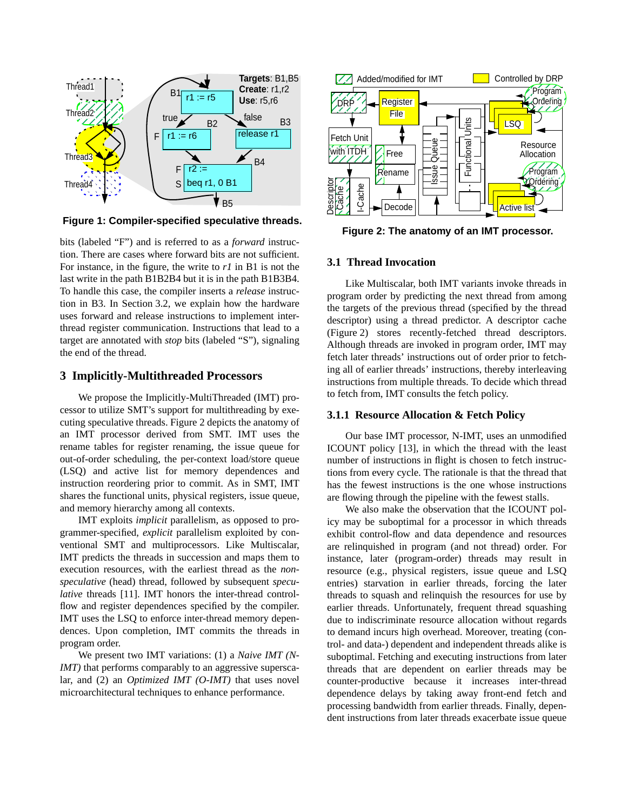

<span id="page-2-0"></span>**Figure 1: Compiler-specified speculative threads.**

bits (labeled "F") and is referred to as a *forward* instruction. There are cases where forward bits are not sufficient. For instance, in the figure, the write to *r1* in B1 is not the last write in the path B1B2B4 but it is in the path B1B3B4. To handle this case, the compiler inserts a *release* instruction in B3. In [Section 3.2](#page-4-0), we explain how the hardware uses forward and release instructions to implement interthread register communication. Instructions that lead to a target are annotated with *stop* bits (labeled "S"), signaling the end of the thread.

## **3 Implicitly-Multithreaded Processors**

We propose the Implicitly-MultiThreaded (IMT) processor to utilize SMT's support for multithreading by executing speculative threads. [Figure 2](#page-2-1) depicts the anatomy of an IMT processor derived from SMT. IMT uses the rename tables for register renaming, the issue queue for out-of-order scheduling, the per-context load/store queue (LSQ) and active list for memory dependences and instruction reordering prior to commit. As in SMT, IMT shares the functional units, physical registers, issue queue, and memory hierarchy among all contexts.

IMT exploits *implicit* parallelism, as opposed to programmer-specified, *explicit* parallelism exploited by conventional SMT and multiprocessors. Like Multiscalar, IMT predicts the threads in succession and maps them to execution resources, with the earliest thread as the *nonspeculative* (head) thread, followed by subsequent *speculative* threads [11]. IMT honors the inter-thread controlflow and register dependences specified by the compiler. IMT uses the LSQ to enforce inter-thread memory dependences. Upon completion, IMT commits the threads in program order.

We present two IMT variations: (1) a *Naive IMT (N-IMT*) that performs comparably to an aggressive superscalar, and (2) an *Optimized IMT (O-IMT)* that uses novel microarchitectural techniques to enhance performance.



<span id="page-2-1"></span>**Figure 2: The anatomy of an IMT processor.**

### <span id="page-2-2"></span>**3.1 Thread Invocation**

Like Multiscalar, both IMT variants invoke threads in program order by predicting the next thread from among the targets of the previous thread (specified by the thread descriptor) using a thread predictor. A descriptor cache ([Figure 2](#page-2-1)) stores recently-fetched thread descriptors. Although threads are invoked in program order, IMT may fetch later threads' instructions out of order prior to fetching all of earlier threads' instructions, thereby interleaving instructions from multiple threads. To decide which thread to fetch from, IMT consults the fetch policy.

## **3.1.1 Resource Allocation & Fetch Policy**

Our base IMT processor, N-IMT, uses an unmodified ICOUNT policy [13], in which the thread with the least number of instructions in flight is chosen to fetch instructions from every cycle. The rationale is that the thread that has the fewest instructions is the one whose instructions are flowing through the pipeline with the fewest stalls.

We also make the observation that the ICOUNT policy may be suboptimal for a processor in which threads exhibit control-flow and data dependence and resources are relinquished in program (and not thread) order. For instance, later (program-order) threads may result in resource (e.g., physical registers, issue queue and LSQ entries) starvation in earlier threads, forcing the later threads to squash and relinquish the resources for use by earlier threads. Unfortunately, frequent thread squashing due to indiscriminate resource allocation without regards to demand incurs high overhead. Moreover, treating (control- and data-) dependent and independent threads alike is suboptimal. Fetching and executing instructions from later threads that are dependent on earlier threads may be counter-productive because it increases inter-thread dependence delays by taking away front-end fetch and processing bandwidth from earlier threads. Finally, dependent instructions from later threads exacerbate issue queue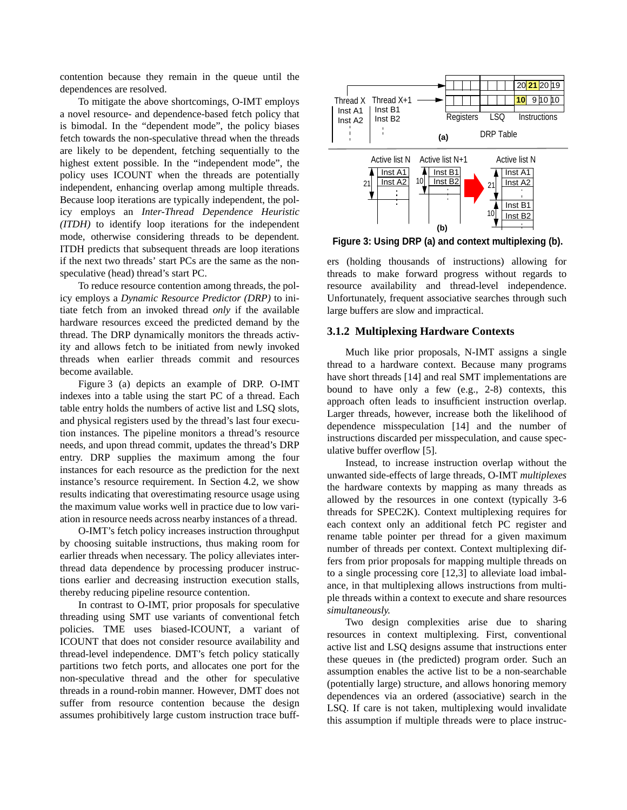contention because they remain in the queue until the dependences are resolved.

To mitigate the above shortcomings, O-IMT employs a novel resource- and dependence-based fetch policy that is bimodal. In the "dependent mode", the policy biases fetch towards the non-speculative thread when the threads are likely to be dependent, fetching sequentially to the highest extent possible. In the "independent mode", the policy uses ICOUNT when the threads are potentially independent, enhancing overlap among multiple threads. Because loop iterations are typically independent, the policy employs an *Inter-Thread Dependence Heuristic (ITDH)* to identify loop iterations for the independent mode, otherwise considering threads to be dependent*.* ITDH predicts that subsequent threads are loop iterations if the next two threads' start PCs are the same as the nonspeculative (head) thread's start PC.

To reduce resource contention among threads, the policy employs a *Dynamic Resource Predictor (DRP)* to initiate fetch from an invoked thread *only* if the available hardware resources exceed the predicted demand by the thread. The DRP dynamically monitors the threads activity and allows fetch to be initiated from newly invoked threads when earlier threads commit and resources become available.

[Figure 3](#page-3-0) (a) depicts an example of DRP. O-IMT indexes into a table using the start PC of a thread. Each table entry holds the numbers of active list and LSQ slots, and physical registers used by the thread's last four execution instances. The pipeline monitors a thread's resource needs, and upon thread commit, updates the thread's DRP entry. DRP supplies the maximum among the four instances for each resource as the prediction for the next instance's resource requirement. In [Section 4.2](#page-7-0), we show results indicating that overestimating resource usage using the maximum value works well in practice due to low variation in resource needs across nearby instances of a thread.

O-IMT's fetch policy increases instruction throughput by choosing suitable instructions, thus making room for earlier threads when necessary. The policy alleviates interthread data dependence by processing producer instructions earlier and decreasing instruction execution stalls, thereby reducing pipeline resource contention.

In contrast to O-IMT, prior proposals for speculative threading using SMT use variants of conventional fetch policies. TME uses biased-ICOUNT, a variant of ICOUNT that does not consider resource availability and thread-level independence. DMT's fetch policy statically partitions two fetch ports, and allocates one port for the non-speculative thread and the other for speculative threads in a round-robin manner. However, DMT does not suffer from resource contention because the design assumes prohibitively large custom instruction trace buff-



<span id="page-3-0"></span>**Figure 3: Using DRP (a) and context multiplexing (b).**

ers (holding thousands of instructions) allowing for threads to make forward progress without regards to resource availability and thread-level independence. Unfortunately, frequent associative searches through such large buffers are slow and impractical.

## **3.1.2 Multiplexing Hardware Contexts**

Much like prior proposals, N-IMT assigns a single thread to a hardware context. Because many programs have short threads [14] and real SMT implementations are bound to have only a few (e.g., 2-8) contexts, this approach often leads to insufficient instruction overlap. Larger threads, however, increase both the likelihood of dependence misspeculation [14] and the number of instructions discarded per misspeculation, and cause speculative buffer overflow [5].

Instead, to increase instruction overlap without the unwanted side-effects of large threads, O-IMT *multiplexes* the hardware contexts by mapping as many threads as allowed by the resources in one context (typically 3-6 threads for SPEC2K). Context multiplexing requires for each context only an additional fetch PC register and rename table pointer per thread for a given maximum number of threads per context. Context multiplexing differs from prior proposals for mapping multiple threads on to a single processing core [12,3] to alleviate load imbalance, in that multiplexing allows instructions from multiple threads within a context to execute and share resources *simultaneously.*

Two design complexities arise due to sharing resources in context multiplexing. First, conventional active list and LSQ designs assume that instructions enter these queues in (the predicted) program order. Such an assumption enables the active list to be a non-searchable (potentially large) structure, and allows honoring memory dependences via an ordered (associative) search in the LSQ. If care is not taken, multiplexing would invalidate this assumption if multiple threads were to place instruc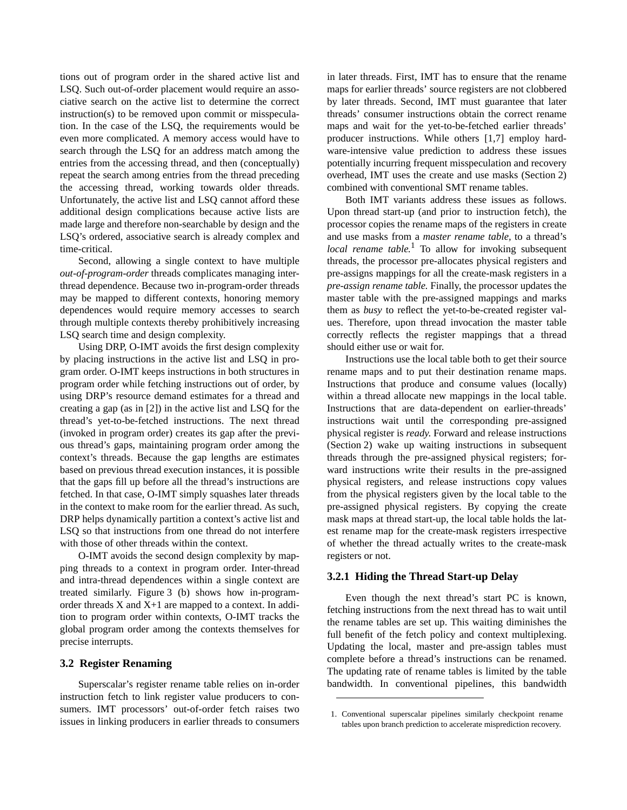tions out of program order in the shared active list and LSQ. Such out-of-order placement would require an associative search on the active list to determine the correct instruction(s) to be removed upon commit or misspeculation. In the case of the LSQ, the requirements would be even more complicated. A memory access would have to search through the LSQ for an address match among the entries from the accessing thread, and then (conceptually) repeat the search among entries from the thread preceding the accessing thread, working towards older threads. Unfortunately, the active list and LSQ cannot afford these additional design complications because active lists are made large and therefore non-searchable by design and the LSQ's ordered, associative search is already complex and time-critical.

Second, allowing a single context to have multiple *out-of-program-order* threads complicates managing interthread dependence. Because two in-program-order threads may be mapped to different contexts, honoring memory dependences would require memory accesses to search through multiple contexts thereby prohibitively increasing LSQ search time and design complexity.

Using DRP, O-IMT avoids the first design complexity by placing instructions in the active list and LSQ in program order. O-IMT keeps instructions in both structures in program order while fetching instructions out of order, by using DRP's resource demand estimates for a thread and creating a gap (as in [2]) in the active list and LSQ for the thread's yet-to-be-fetched instructions. The next thread (invoked in program order) creates its gap after the previous thread's gaps, maintaining program order among the context's threads. Because the gap lengths are estimates based on previous thread execution instances, it is possible that the gaps fill up before all the thread's instructions are fetched. In that case, O-IMT simply squashes later threads in the context to make room for the earlier thread. As such, DRP helps dynamically partition a context's active list and LSQ so that instructions from one thread do not interfere with those of other threads within the context.

O-IMT avoids the second design complexity by mapping threads to a context in program order. Inter-thread and intra-thread dependences within a single context are treated similarly. [Figure 3](#page-3-0) (b) shows how in-programorder threads X and X+1 are mapped to a context. In addition to program order within contexts, O-IMT tracks the global program order among the contexts themselves for precise interrupts.

## <span id="page-4-0"></span>**3.2 Register Renaming**

Superscalar's register rename table relies on in-order instruction fetch to link register value producers to consumers. IMT processors' out-of-order fetch raises two issues in linking producers in earlier threads to consumers

in later threads. First, IMT has to ensure that the rename maps for earlier threads' source registers are not clobbered by later threads. Second, IMT must guarantee that later threads' consumer instructions obtain the correct rename maps and wait for the yet-to-be-fetched earlier threads' producer instructions. While others [1,7] employ hardware-intensive value prediction to address these issues potentially incurring frequent misspeculation and recovery overhead, IMT uses the create and use masks ([Section 2](#page-1-0)) combined with conventional SMT rename tables.

Both IMT variants address these issues as follows. Upon thread start-up (and prior to instruction fetch), the processor copies the rename maps of the registers in create and use masks from a *master rename table,* to a thread's *local rename table.*<sup>1</sup> To allow for invoking subsequent threads, the processor pre-allocates physical registers and pre-assigns mappings for all the create-mask registers in a *pre-assign rename table.* Finally, the processor updates the master table with the pre-assigned mappings and marks them as *busy* to reflect the yet-to-be-created register values. Therefore, upon thread invocation the master table correctly reflects the register mappings that a thread should either use or wait for.

Instructions use the local table both to get their source rename maps and to put their destination rename maps. Instructions that produce and consume values (locally) within a thread allocate new mappings in the local table. Instructions that are data-dependent on earlier-threads' instructions wait until the corresponding pre-assigned physical register is *ready*. Forward and release instructions ([Section 2](#page-1-0)) wake up waiting instructions in subsequent threads through the pre-assigned physical registers; forward instructions write their results in the pre-assigned physical registers, and release instructions copy values from the physical registers given by the local table to the pre-assigned physical registers. By copying the create mask maps at thread start-up, the local table holds the latest rename map for the create-mask registers irrespective of whether the thread actually writes to the create-mask registers or not.

#### **3.2.1 Hiding the Thread Start-up Delay**

Even though the next thread's start PC is known, fetching instructions from the next thread has to wait until the rename tables are set up. This waiting diminishes the full benefit of the fetch policy and context multiplexing. Updating the local, master and pre-assign tables must complete before a thread's instructions can be renamed. The updating rate of rename tables is limited by the table bandwidth. In conventional pipelines, this bandwidth

<sup>1.</sup> Conventional superscalar pipelines similarly checkpoint rename tables upon branch prediction to accelerate misprediction recovery.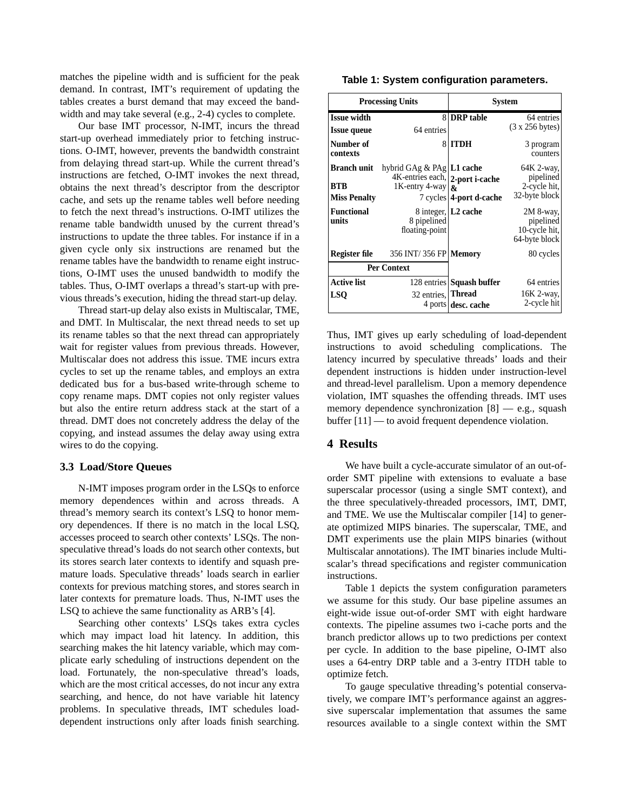matches the pipeline width and is sufficient for the peak demand. In contrast, IMT's requirement of updating the tables creates a burst demand that may exceed the bandwidth and may take several (e.g., 2-4) cycles to complete.

Our base IMT processor, N-IMT, incurs the thread start-up overhead immediately prior to fetching instructions. O-IMT, however, prevents the bandwidth constraint from delaying thread start-up. While the current thread's instructions are fetched, O-IMT invokes the next thread, obtains the next thread's descriptor from the descriptor cache, and sets up the rename tables well before needing to fetch the next thread's instructions. O-IMT utilizes the rename table bandwidth unused by the current thread's instructions to update the three tables. For instance if in a given cycle only six instructions are renamed but the rename tables have the bandwidth to rename eight instructions, O-IMT uses the unused bandwidth to modify the tables. Thus, O-IMT overlaps a thread's start-up with previous threads's execution, hiding the thread start-up delay.

Thread start-up delay also exists in Multiscalar, TME, and DMT. In Multiscalar, the next thread needs to set up its rename tables so that the next thread can appropriately wait for register values from previous threads. However, Multiscalar does not address this issue. TME incurs extra cycles to set up the rename tables, and employs an extra dedicated bus for a bus-based write-through scheme to copy rename maps. DMT copies not only register values but also the entire return address stack at the start of a thread. DMT does not concretely address the delay of the copying, and instead assumes the delay away using extra wires to do the copying.

#### **3.3 Load/Store Queues**

N-IMT imposes program order in the LSQs to enforce memory dependences within and across threads. A thread's memory search its context's LSQ to honor memory dependences. If there is no match in the local LSQ, accesses proceed to search other contexts' LSQs. The nonspeculative thread's loads do not search other contexts, but its stores search later contexts to identify and squash premature loads. Speculative threads' loads search in earlier contexts for previous matching stores, and stores search in later contexts for premature loads. Thus, N-IMT uses the LSQ to achieve the same functionality as ARB's [4].

Searching other contexts' LSQs takes extra cycles which may impact load hit latency. In addition, this searching makes the hit latency variable, which may complicate early scheduling of instructions dependent on the load. Fortunately, the non-speculative thread's loads, which are the most critical accesses, do not incur any extra searching, and hence, do not have variable hit latency problems. In speculative threads, IMT schedules loaddependent instructions only after loads finish searching.

#### **Table 1: System configuration parameters.**

<span id="page-5-0"></span>

|                                                  | <b>Processing Units</b>                                                          | System                                           |                                                          |  |
|--------------------------------------------------|----------------------------------------------------------------------------------|--------------------------------------------------|----------------------------------------------------------|--|
| <b>Issue width</b><br><b>Issue queue</b>         | 64 entries                                                                       | 8 DRP table                                      | 64 entries<br>$(3 \times 256$ bytes)                     |  |
| Number of<br>contexts                            |                                                                                  | 8 ITDH                                           | 3 program<br>counters                                    |  |
| Branch unit<br><b>BTB</b><br><b>Miss Penalty</b> | hybrid GAg & PAg   L1 cache<br>4K-entries each, 2-port i-cache<br>1K-entry 4-way | &<br>7 cycles 4-port d-cache                     | 64K 2-way,<br>pipelined<br>2-cycle hit,<br>32-byte block |  |
| <b>Functional</b><br>units                       | 8 pipelined<br>floating-point                                                    | 8 integer, L2 cache                              | 2M 8-way,<br>pipelined<br>10-cycle hit,<br>64-byte block |  |
| Register file                                    | 356 INT/356 FP   Memory                                                          |                                                  | 80 cycles                                                |  |
|                                                  | <b>Per Context</b>                                                               |                                                  |                                                          |  |
| <b>Active list</b><br>LSQ                        | 32 entries, Thread                                                               | 128 entries Squash buffer<br>4 ports desc. cache | 64 entries<br>16K 2-way,<br>2-cycle hit                  |  |

Thus, IMT gives up early scheduling of load-dependent instructions to avoid scheduling complications. The latency incurred by speculative threads' loads and their dependent instructions is hidden under instruction-level and thread-level parallelism. Upon a memory dependence violation, IMT squashes the offending threads. IMT uses memory dependence synchronization [8] — e.g., squash buffer [11] — to avoid frequent dependence violation.

## **4 Results**

We have built a cycle-accurate simulator of an out-oforder SMT pipeline with extensions to evaluate a base superscalar processor (using a single SMT context), and the three speculatively-threaded processors, IMT, DMT, and TME. We use the Multiscalar compiler [14] to generate optimized MIPS binaries. The superscalar, TME, and DMT experiments use the plain MIPS binaries (without Multiscalar annotations). The IMT binaries include Multiscalar's thread specifications and register communication instructions.

[Table 1](#page-5-0) depicts the system configuration parameters we assume for this study. Our base pipeline assumes an eight-wide issue out-of-order SMT with eight hardware contexts. The pipeline assumes two i-cache ports and the branch predictor allows up to two predictions per context per cycle. In addition to the base pipeline, O-IMT also uses a 64-entry DRP table and a 3-entry ITDH table to optimize fetch.

To gauge speculative threading's potential conservatively, we compare IMT's performance against an aggressive superscalar implementation that assumes the same resources available to a single context within the SMT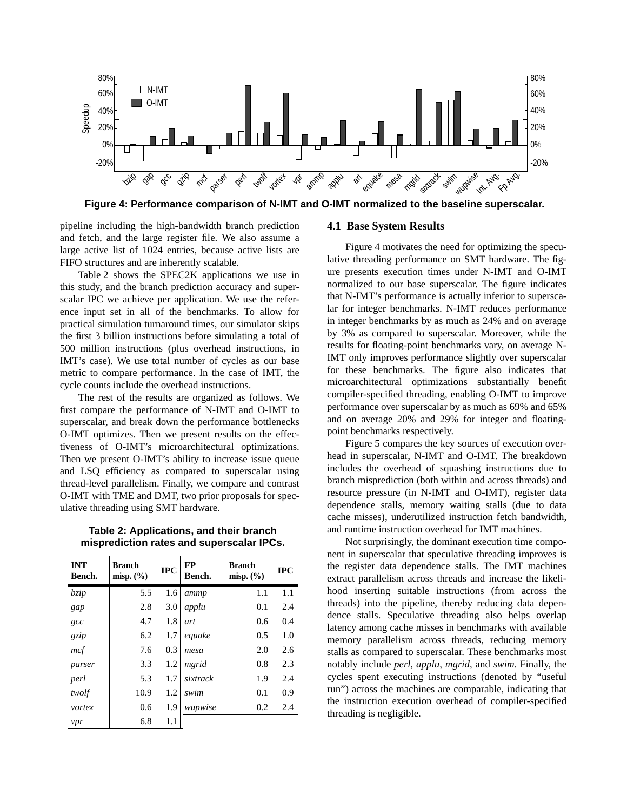

<span id="page-6-1"></span>pipeline including the high-bandwidth branch prediction and fetch, and the large register file. We also assume a large active list of 1024 entries, because active lists are FIFO structures and are inherently scalable.

[Table 2](#page-6-0) shows the SPEC2K applications we use in this study, and the branch prediction accuracy and superscalar IPC we achieve per application. We use the reference input set in all of the benchmarks. To allow for practical simulation turnaround times, our simulator skips the first 3 billion instructions before simulating a total of 500 million instructions (plus overhead instructions, in IMT's case). We use total number of cycles as our base metric to compare performance. In the case of IMT, the cycle counts include the overhead instructions.

The rest of the results are organized as follows. We first compare the performance of N-IMT and O-IMT to superscalar, and break down the performance bottlenecks O-IMT optimizes. Then we present results on the effectiveness of O-IMT's microarchitectural optimizations. Then we present O-IMT's ability to increase issue queue and LSQ efficiency as compared to superscalar using thread-level parallelism. Finally, we compare and contrast O-IMT with TME and DMT, two prior proposals for speculative threading using SMT hardware.

<span id="page-6-0"></span>**Table 2: Applications, and their branch misprediction rates and superscalar IPCs.**

| <b>INT</b><br>Bench. | <b>Branch</b><br>misp. $(\% )$ | $_{\rm IPC}$ | <b>FP</b><br>Bench. | <b>Branch</b><br>misp. $(\% )$ | <b>IPC</b> |
|----------------------|--------------------------------|--------------|---------------------|--------------------------------|------------|
| bzip                 | 5.5                            | 1.6          | ammp                | 1.1                            | 1.1        |
| gap                  | 2.8                            | 3.0          | applu               | 0.1                            | 2.4        |
| gcc                  | 4.7                            | 1.8          | art                 | 0.6                            | 0.4        |
| gzip                 | 6.2                            | 1.7          | equake              | 0.5                            | 1.0        |
| mcf                  | 7.6                            | 0.3          | mesa                | 2.0                            | 2.6        |
| parser               | 3.3                            | 1.2          | mgrid               | 0.8                            | 2.3        |
| perl                 | 5.3                            | 1.7          | sixtrack            | 1.9                            | 2.4        |
| twolf                | 10.9                           | 1.2          | swim                | 0.1                            | 0.9        |
| vortex               | 0.6                            | 1.9          | wupwise             | 0.2                            | 2.4        |
| vpr                  | 6.8                            | 1.1          |                     |                                |            |

#### **4.1 Base System Results**

[Figure 4](#page-6-1) motivates the need for optimizing the speculative threading performance on SMT hardware. The figure presents execution times under N-IMT and O-IMT normalized to our base superscalar. The figure indicates that N-IMT's performance is actually inferior to superscalar for integer benchmarks. N-IMT reduces performance in integer benchmarks by as much as 24% and on average by 3% as compared to superscalar. Moreover, while the results for floating-point benchmarks vary, on average N-IMT only improves performance slightly over superscalar for these benchmarks. The figure also indicates that microarchitectural optimizations substantially benefit compiler-specified threading, enabling O-IMT to improve performance over superscalar by as much as 69% and 65% and on average 20% and 29% for integer and floatingpoint benchmarks respectively.

[Figure 5](#page-7-1) compares the key sources of execution overhead in superscalar, N-IMT and O-IMT. The breakdown includes the overhead of squashing instructions due to branch misprediction (both within and across threads) and resource pressure (in N-IMT and O-IMT), register data dependence stalls, memory waiting stalls (due to data cache misses), underutilized instruction fetch bandwidth, and runtime instruction overhead for IMT machines.

Not surprisingly, the dominant execution time component in superscalar that speculative threading improves is the register data dependence stalls. The IMT machines extract parallelism across threads and increase the likelihood inserting suitable instructions (from across the threads) into the pipeline, thereby reducing data dependence stalls. Speculative threading also helps overlap latency among cache misses in benchmarks with available memory parallelism across threads, reducing memory stalls as compared to superscalar. These benchmarks most notably include *perl*, *applu*, *mgrid*, and *swim*. Finally, the cycles spent executing instructions (denoted by "useful run") across the machines are comparable, indicating that the instruction execution overhead of compiler-specified threading is negligible.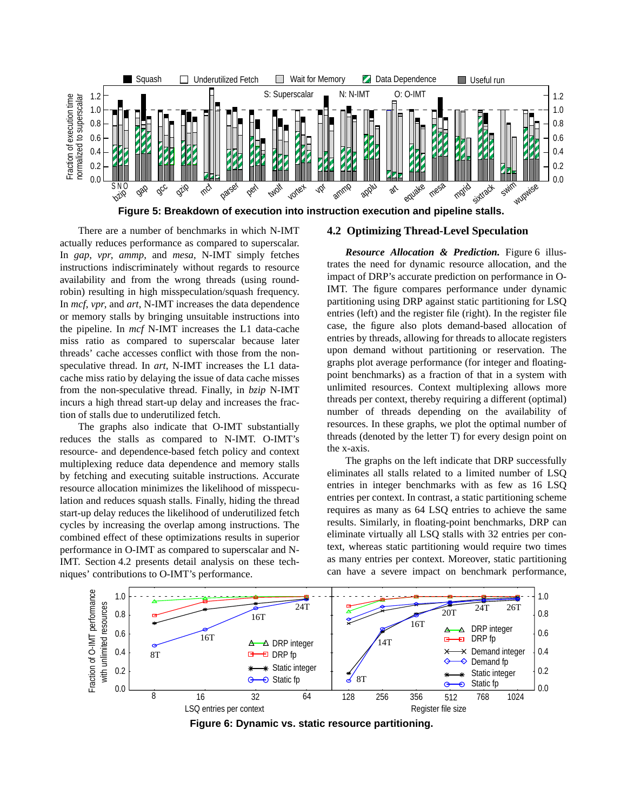

**Figure 5: Breakdown of execution into instruction execution and pipeline stalls.**

<span id="page-7-1"></span>There are a number of benchmarks in which N-IMT actually reduces performance as compared to superscalar. In *gap*, *vpr*, *ammp*, and *mesa*, N-IMT simply fetches instructions indiscriminately without regards to resource availability and from the wrong threads (using roundrobin) resulting in high misspeculation/squash frequency. In *mcf*, *vpr*, and *art*, N-IMT increases the data dependence or memory stalls by bringing unsuitable instructions into the pipeline. In *mcf* N-IMT increases the L1 data-cache miss ratio as compared to superscalar because later threads' cache accesses conflict with those from the nonspeculative thread. In *art*, N-IMT increases the L1 datacache miss ratio by delaying the issue of data cache misses from the non-speculative thread. Finally, in *bzip* N-IMT incurs a high thread start-up delay and increases the fraction of stalls due to underutilized fetch.

The graphs also indicate that O-IMT substantially reduces the stalls as compared to N-IMT. O-IMT's resource- and dependence-based fetch policy and context multiplexing reduce data dependence and memory stalls by fetching and executing suitable instructions. Accurate resource allocation minimizes the likelihood of misspeculation and reduces squash stalls. Finally, hiding the thread start-up delay reduces the likelihood of underutilized fetch cycles by increasing the overlap among instructions. The combined effect of these optimizations results in superior performance in O-IMT as compared to superscalar and N-IMT. [Section 4.2](#page-7-0) presents detail analysis on these techniques' contributions to O-IMT's performance.

## <span id="page-7-0"></span>**4.2 Optimizing Thread-Level Speculation**

*Resource Allocation & Prediction.* [Figure 6](#page-7-2) illustrates the need for dynamic resource allocation, and the impact of DRP's accurate prediction on performance in O-IMT. The figure compares performance under dynamic partitioning using DRP against static partitioning for LSQ entries (left) and the register file (right). In the register file case, the figure also plots demand-based allocation of entries by threads, allowing for threads to allocate registers upon demand without partitioning or reservation. The graphs plot average performance (for integer and floatingpoint benchmarks) as a fraction of that in a system with unlimited resources. Context multiplexing allows more threads per context, thereby requiring a different (optimal) number of threads depending on the availability of resources. In these graphs, we plot the optimal number of threads (denoted by the letter T) for every design point on the x-axis.

The graphs on the left indicate that DRP successfully eliminates all stalls related to a limited number of LSQ entries in integer benchmarks with as few as 16 LSQ entries per context. In contrast, a static partitioning scheme requires as many as 64 LSQ entries to achieve the same results. Similarly, in floating-point benchmarks, DRP can eliminate virtually all LSQ stalls with 32 entries per context, whereas static partitioning would require two times as many entries per context. Moreover, static partitioning can have a severe impact on benchmark performance,

<span id="page-7-2"></span>

**Figure 6: Dynamic vs. static resource partitioning.**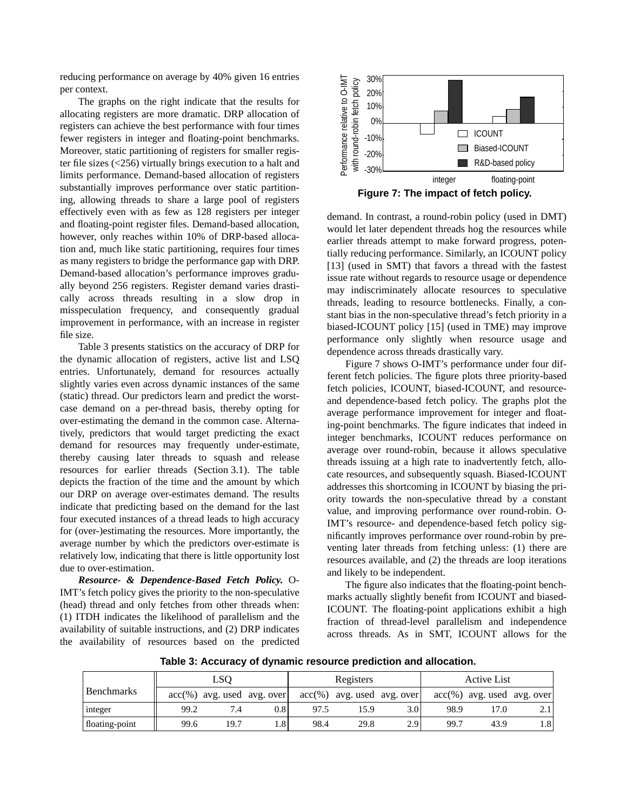reducing performance on average by 40% given 16 entries per context.

The graphs on the right indicate that the results for allocating registers are more dramatic. DRP allocation of registers can achieve the best performance with four times fewer registers in integer and floating-point benchmarks. Moreover, static partitioning of registers for smaller register file sizes (<256) virtually brings execution to a halt and limits performance. Demand-based allocation of registers substantially improves performance over static partitioning, allowing threads to share a large pool of registers effectively even with as few as 128 registers per integer and floating-point register files. Demand-based allocation, however, only reaches within 10% of DRP-based allocation and, much like static partitioning, requires four times as many registers to bridge the performance gap with DRP. Demand-based allocation's performance improves gradually beyond 256 registers. Register demand varies drastically across threads resulting in a slow drop in misspeculation frequency, and consequently gradual improvement in performance, with an increase in register file size.

[Table 3](#page-8-0) presents statistics on the accuracy of DRP for the dynamic allocation of registers, active list and LSQ entries. Unfortunately, demand for resources actually slightly varies even across dynamic instances of the same (static) thread. Our predictors learn and predict the worstcase demand on a per-thread basis, thereby opting for over-estimating the demand in the common case. Alternatively, predictors that would target predicting the exact demand for resources may frequently under-estimate, thereby causing later threads to squash and release resources for earlier threads [\(Section 3.1](#page-2-2)). The table depicts the fraction of the time and the amount by which our DRP on average over-estimates demand. The results indicate that predicting based on the demand for the last four executed instances of a thread leads to high accuracy for (over-)estimating the resources. More importantly, the average number by which the predictors over-estimate is relatively low, indicating that there is little opportunity lost due to over-estimation.

*Resource- & Dependence-Based Fetch Policy.* O-IMT's fetch policy gives the priority to the non-speculative (head) thread and only fetches from other threads when: (1) ITDH indicates the likelihood of parallelism and the availability of suitable instructions, and (2) DRP indicates the availability of resources based on the predicted



<span id="page-8-1"></span>demand. In contrast, a round-robin policy (used in DMT) would let later dependent threads hog the resources while earlier threads attempt to make forward progress, potentially reducing performance. Similarly, an ICOUNT policy [13] (used in SMT) that favors a thread with the fastest issue rate without regards to resource usage or dependence may indiscriminately allocate resources to speculative threads, leading to resource bottlenecks. Finally, a constant bias in the non-speculative thread's fetch priority in a biased-ICOUNT policy [15] (used in TME) may improve performance only slightly when resource usage and dependence across threads drastically vary.

[Figure 7](#page-8-1) shows O-IMT's performance under four different fetch policies. The figure plots three priority-based fetch policies, ICOUNT, biased-ICOUNT, and resourceand dependence-based fetch policy. The graphs plot the average performance improvement for integer and floating-point benchmarks. The figure indicates that indeed in integer benchmarks, ICOUNT reduces performance on average over round-robin, because it allows speculative threads issuing at a high rate to inadvertently fetch, allocate resources, and subsequently squash. Biased-ICOUNT addresses this shortcoming in ICOUNT by biasing the priority towards the non-speculative thread by a constant value, and improving performance over round-robin. O-IMT's resource- and dependence-based fetch policy significantly improves performance over round-robin by preventing later threads from fetching unless: (1) there are resources available, and (2) the threads are loop iterations and likely to be independent.

The figure also indicates that the floating-point benchmarks actually slightly benefit from ICOUNT and biased-ICOUNT. The floating-point applications exhibit a high fraction of thread-level parallelism and independence across threads. As in SMT, ICOUNT allows for the

<span id="page-8-0"></span>

|                | LSO  |                                 | Registers |      | <b>Active List</b>                   |     |      |                                 |      |
|----------------|------|---------------------------------|-----------|------|--------------------------------------|-----|------|---------------------------------|------|
| Benchmarks     |      | $\arcc(\%)$ avg. used avg. over |           |      | $\text{acc}(\%)$ avg. used avg. over |     |      | $\arcc(\%)$ avg. used avg. over |      |
| integer        | 99.2 | 7.4                             | 0.8       | 97.5 | 15.9                                 | 3.0 | 98.9 | 17.0                            |      |
| floating-point | 99.6 | 19.7                            | 81.،      | 98.4 | 29.8                                 | 2.9 | 99.7 | 43.9                            | 1.81 |

**Table 3: Accuracy of dynamic resource prediction and allocation.**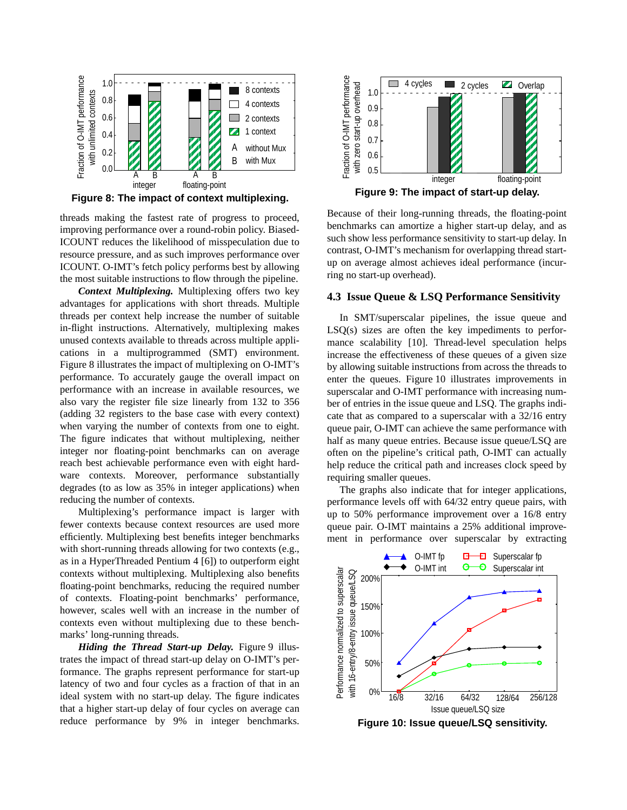

<span id="page-9-0"></span>**Figure 8: The impact of context multiplexing.**

threads making the fastest rate of progress to proceed, improving performance over a round-robin policy. Biased-ICOUNT reduces the likelihood of misspeculation due to resource pressure, and as such improves performance over ICOUNT. O-IMT's fetch policy performs best by allowing the most suitable instructions to flow through the pipeline.

*Context Multiplexing.* Multiplexing offers two key advantages for applications with short threads. Multiple threads per context help increase the number of suitable in-flight instructions. Alternatively, multiplexing makes unused contexts available to threads across multiple applications in a multiprogrammed (SMT) environment. [Figure 8](#page-9-0) illustrates the impact of multiplexing on O-IMT's performance. To accurately gauge the overall impact on performance with an increase in available resources, we also vary the register file size linearly from 132 to 356 (adding 32 registers to the base case with every context) when varying the number of contexts from one to eight. The figure indicates that without multiplexing, neither integer nor floating-point benchmarks can on average reach best achievable performance even with eight hardware contexts. Moreover, performance substantially degrades (to as low as 35% in integer applications) when reducing the number of contexts.

Multiplexing's performance impact is larger with fewer contexts because context resources are used more efficiently. Multiplexing best benefits integer benchmarks with short-running threads allowing for two contexts (e.g., as in a HyperThreaded Pentium 4 [6]) to outperform eight contexts without multiplexing. Multiplexing also benefits floating-point benchmarks, reducing the required number of contexts. Floating-point benchmarks' performance, however, scales well with an increase in the number of contexts even without multiplexing due to these benchmarks' long-running threads.

*Hiding the Thread Start-up Delay.* [Figure 9](#page-9-1) illustrates the impact of thread start-up delay on O-IMT's performance. The graphs represent performance for start-up latency of two and four cycles as a fraction of that in an ideal system with no start-up delay. The figure indicates that a higher start-up delay of four cycles on average can reduce performance by 9% in integer benchmarks.



<span id="page-9-1"></span>Because of their long-running threads, the floating-point benchmarks can amortize a higher start-up delay, and as such show less performance sensitivity to start-up delay. In contrast, O-IMT's mechanism for overlapping thread startup on average almost achieves ideal performance (incurring no start-up overhead).

#### **4.3 Issue Queue & LSQ Performance Sensitivity**

In SMT/superscalar pipelines, the issue queue and LSQ(s) sizes are often the key impediments to performance scalability [10]. Thread-level speculation helps increase the effectiveness of these queues of a given size by allowing suitable instructions from across the threads to enter the queues. [Figure 10](#page-9-2) illustrates improvements in superscalar and O-IMT performance with increasing number of entries in the issue queue and LSQ. The graphs indicate that as compared to a superscalar with a 32/16 entry queue pair, O-IMT can achieve the same performance with half as many queue entries. Because issue queue/LSQ are often on the pipeline's critical path, O-IMT can actually help reduce the critical path and increases clock speed by requiring smaller queues.

The graphs also indicate that for integer applications, performance levels off with 64/32 entry queue pairs, with up to 50% performance improvement over a 16/8 entry queue pair. O-IMT maintains a 25% additional improvement in performance over superscalar by extracting



<span id="page-9-2"></span>**Figure 10: Issue queue/LSQ sensitivity.**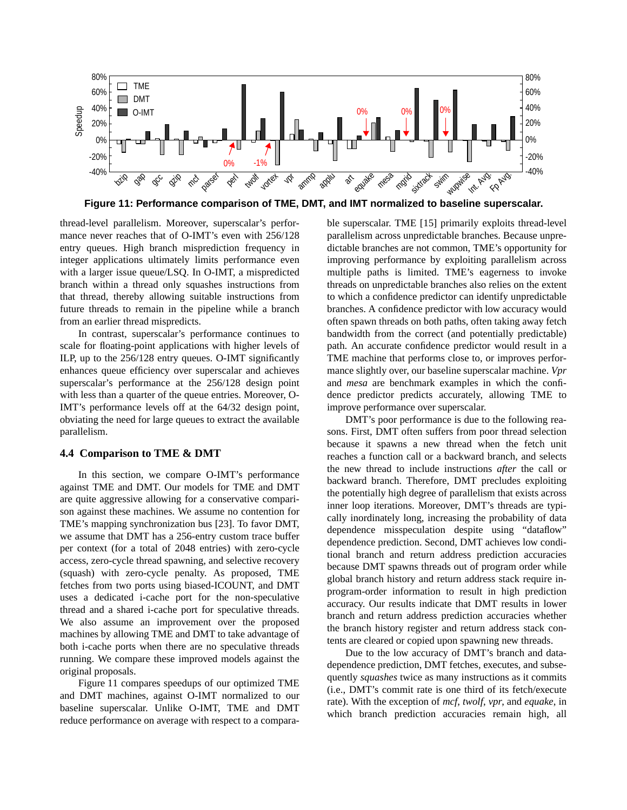

**Figure 11: Performance comparison of TME, DMT, and IMT normalized to baseline superscalar.**

<span id="page-10-0"></span>thread-level parallelism. Moreover, superscalar's performance never reaches that of O-IMT's even with 256/128 entry queues. High branch misprediction frequency in integer applications ultimately limits performance even with a larger issue queue/LSQ. In O-IMT, a mispredicted branch within a thread only squashes instructions from that thread, thereby allowing suitable instructions from future threads to remain in the pipeline while a branch from an earlier thread mispredicts.

In contrast, superscalar's performance continues to scale for floating-point applications with higher levels of ILP, up to the 256/128 entry queues. O-IMT significantly enhances queue efficiency over superscalar and achieves superscalar's performance at the 256/128 design point with less than a quarter of the queue entries. Moreover, O-IMT's performance levels off at the 64/32 design point, obviating the need for large queues to extract the available parallelism.

## **4.4 Comparison to TME & DMT**

In this section, we compare O-IMT's performance against TME and DMT. Our models for TME and DMT are quite aggressive allowing for a conservative comparison against these machines. We assume no contention for TME's mapping synchronization bus [23]. To favor DMT, we assume that DMT has a 256-entry custom trace buffer per context (for a total of 2048 entries) with zero-cycle access, zero-cycle thread spawning, and selective recovery (squash) with zero-cycle penalty. As proposed, TME fetches from two ports using biased-ICOUNT, and DMT uses a dedicated i-cache port for the non-speculative thread and a shared i-cache port for speculative threads. We also assume an improvement over the proposed machines by allowing TME and DMT to take advantage of both i-cache ports when there are no speculative threads running. We compare these improved models against the original proposals.

[Figure 11](#page-10-0) compares speedups of our optimized TME and DMT machines, against O-IMT normalized to our baseline superscalar. Unlike O-IMT, TME and DMT reduce performance on average with respect to a compara-

ble superscalar. TME [15] primarily exploits thread-level parallelism across unpredictable branches. Because unpredictable branches are not common, TME's opportunity for improving performance by exploiting parallelism across multiple paths is limited. TME's eagerness to invoke threads on unpredictable branches also relies on the extent to which a confidence predictor can identify unpredictable branches. A confidence predictor with low accuracy would often spawn threads on both paths, often taking away fetch bandwidth from the correct (and potentially predictable) path. An accurate confidence predictor would result in a TME machine that performs close to, or improves performance slightly over, our baseline superscalar machine. *Vpr* and *mesa* are benchmark examples in which the confidence predictor predicts accurately, allowing TME to improve performance over superscalar.

DMT's poor performance is due to the following reasons. First, DMT often suffers from poor thread selection because it spawns a new thread when the fetch unit reaches a function call or a backward branch, and selects the new thread to include instructions *after* the call or backward branch. Therefore, DMT precludes exploiting the potentially high degree of parallelism that exists across inner loop iterations. Moreover, DMT's threads are typically inordinately long, increasing the probability of data dependence misspeculation despite using "dataflow" dependence prediction. Second, DMT achieves low conditional branch and return address prediction accuracies because DMT spawns threads out of program order while global branch history and return address stack require inprogram-order information to result in high prediction accuracy. Our results indicate that DMT results in lower branch and return address prediction accuracies whether the branch history register and return address stack contents are cleared or copied upon spawning new threads.

Due to the low accuracy of DMT's branch and datadependence prediction, DMT fetches, executes, and subsequently *squashes* twice as many instructions as it commits (i.e., DMT's commit rate is one third of its fetch/execute rate). With the exception of *mcf*, *twolf*, *vpr*, and *equake*, in which branch prediction accuracies remain high, all